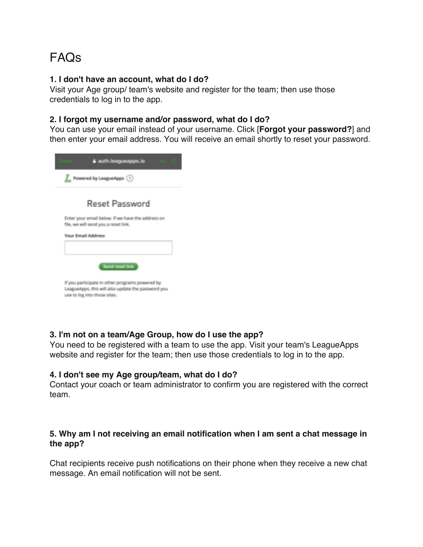# FAQs

#### **1. I don't have an account, what do I do?**

Visit your Age group/ team's website and register for the team; then use those credentials to log in to the app.

### **2. I forgot my username and/or password, what do I do?**

You can use your email instead of your username. Click [**Forgot your password?**] and then enter your email address. You will receive an email shortly to reset your password.



### **3. I'm not on a team/Age Group, how do I use the app?**

You need to be registered with a team to use the app. Visit your team's LeagueApps website and register for the team; then use those credentials to log in to the app.

#### **4. I don't see my Age group/team, what do I do?**

Contact your coach or team administrator to confirm you are registered with the correct team.

### **5. Why am I not receiving an email notification when I am sent a chat message in the app?**

Chat recipients receive push notifications on their phone when they receive a new chat message. An email notification will not be sent.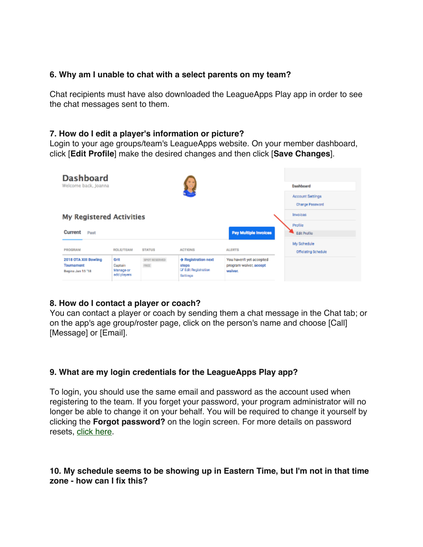# **6. Why am I unable to chat with a select parents on my team?**

Chat recipients must have also downloaded the LeagueApps Play app in order to see the chat messages sent to them.

### **7. How do I edit a player's information or picture?**

Login to your age groups/team's LeagueApps website. On your member dashboard, click [**Edit Profile**] make the desired changes and then click [**Save Changes**].

| <b>Dashboard</b><br>Welcome back, Joanna                        |                                             |                              |                                                                   | Dashboard                                                     |                                     |
|-----------------------------------------------------------------|---------------------------------------------|------------------------------|-------------------------------------------------------------------|---------------------------------------------------------------|-------------------------------------|
|                                                                 |                                             |                              |                                                                   |                                                               | Account Settings<br>Change Password |
| <b>My Registered Activities</b>                                 |                                             |                              |                                                                   |                                                               | Invoices<br>Profile                 |
| Current<br>Past                                                 |                                             |                              |                                                                   | <b>Pay Multiple Invoices</b>                                  | <b>Edit Profile</b><br>My Schedule  |
| PROGRAM                                                         | <b>ROLE/TEAM</b>                            | <b>STATUS</b>                | <b>ACTIONS</b>                                                    | <b>ALERTS</b>                                                 | Officiating Schedule                |
| 2018 OTA XIII Bowling<br><b>Tournament</b><br>Begins Jan 15 '18 | Grit<br>Coptain<br>Manage or<br>add players | SPOT RESERVED<br><b>FREE</b> | + Registration next<br>steps<br>Lif Edit Registration<br>Settings | You haven't yet accepted<br>program waiver, accept<br>waiver. |                                     |

# **8. How do I contact a player or coach?**

You can contact a player or coach by sending them a chat message in the Chat tab; or on the app's age group/roster page, click on the person's name and choose [Call] [Message] or [Email].

# **9. What are my login credentials for the LeagueApps Play app?**

To login, you should use the same email and password as the account used when registering to the team. If you forget your password, your program administrator will no longer be able to change it on your behalf. You will be required to change it yourself by clicking the **Forgot password?** on the login screen. For more details on password resets, click here.

# **10. My schedule seems to be showing up in Eastern Time, but I'm not in that time zone - how can I fix this?**